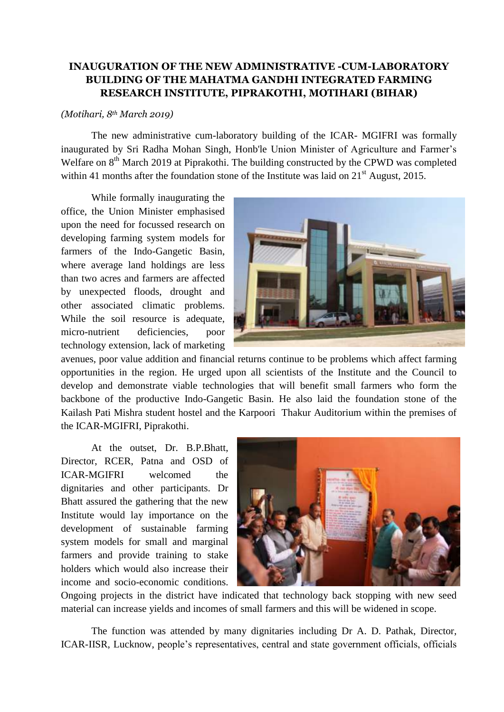## **INAUGURATION OF THE NEW ADMINISTRATIVE -CUM-LABORATORY BUILDING OF THE MAHATMA GANDHI INTEGRATED FARMING RESEARCH INSTITUTE, PIPRAKOTHI, MOTIHARI (BIHAR)**

## *(Motihari, 8th March 2019)*

The new administrative cum-laboratory building of the ICAR- MGIFRI was formally inaugurated by Sri Radha Mohan Singh, Honb'le Union Minister of Agriculture and Farmer's Welfare on 8<sup>th</sup> March 2019 at Piprakothi. The building constructed by the CPWD was completed within 41 months after the foundation stone of the Institute was laid on  $21<sup>st</sup>$  August, 2015.

While formally inaugurating the office, the Union Minister emphasised upon the need for focussed research on developing farming system models for farmers of the Indo-Gangetic Basin, where average land holdings are less than two acres and farmers are affected by unexpected floods, drought and other associated climatic problems. While the soil resource is adequate, micro-nutrient deficiencies, poor technology extension, lack of marketing



avenues, poor value addition and financial returns continue to be problems which affect farming opportunities in the region. He urged upon all scientists of the Institute and the Council to develop and demonstrate viable technologies that will benefit small farmers who form the backbone of the productive Indo-Gangetic Basin. He also laid the foundation stone of the Kailash Pati Mishra student hostel and the Karpoori Thakur Auditorium within the premises of the ICAR-MGIFRI, Piprakothi.

At the outset, Dr. B.P.Bhatt, Director, RCER, Patna and OSD of ICAR-MGIFRI welcomed the dignitaries and other participants. Dr Bhatt assured the gathering that the new Institute would lay importance on the development of sustainable farming system models for small and marginal farmers and provide training to stake holders which would also increase their income and socio-economic conditions.



Ongoing projects in the district have indicated that technology back stopping with new seed material can increase yields and incomes of small farmers and this will be widened in scope.

The function was attended by many dignitaries including Dr A. D. Pathak, Director, ICAR-IISR, Lucknow, people's representatives, central and state government officials, officials